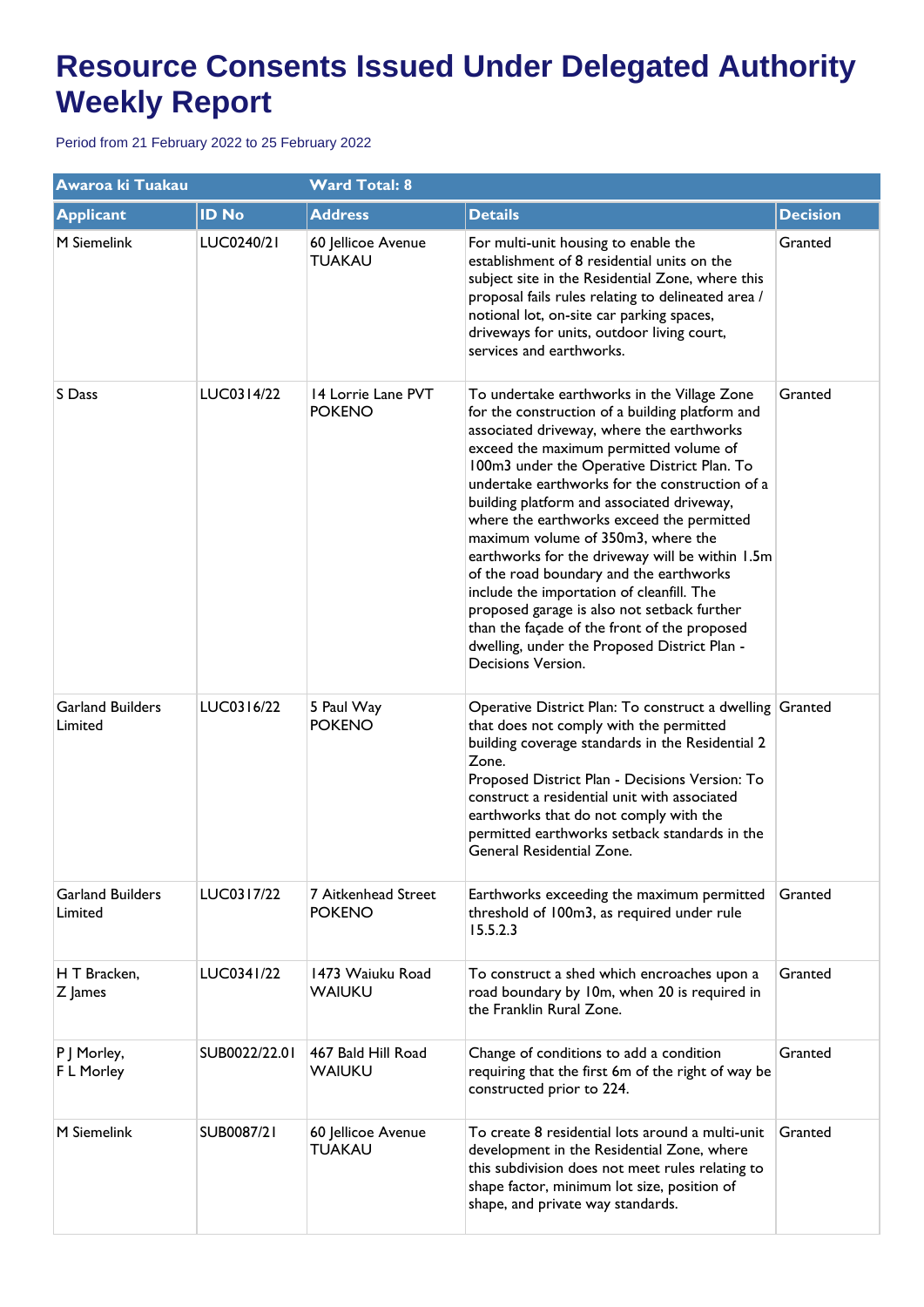| Awaroa ki Tuakau                   |               | <b>Ward Total: 8</b>                 |                                                                                                                                                                                                                                                                                                                                                                                                                                                                                                                                                                                                                                                                                                                                         |                 |
|------------------------------------|---------------|--------------------------------------|-----------------------------------------------------------------------------------------------------------------------------------------------------------------------------------------------------------------------------------------------------------------------------------------------------------------------------------------------------------------------------------------------------------------------------------------------------------------------------------------------------------------------------------------------------------------------------------------------------------------------------------------------------------------------------------------------------------------------------------------|-----------------|
| <b>Applicant</b>                   | <b>ID No</b>  | <b>Address</b>                       | <b>Details</b>                                                                                                                                                                                                                                                                                                                                                                                                                                                                                                                                                                                                                                                                                                                          | <b>Decision</b> |
| M Siemelink                        | LUC0240/21    | 60 Jellicoe Avenue<br><b>TUAKAU</b>  | For multi-unit housing to enable the<br>establishment of 8 residential units on the<br>subject site in the Residential Zone, where this<br>proposal fails rules relating to delineated area /<br>notional lot, on-site car parking spaces,<br>driveways for units, outdoor living court,<br>services and earthworks.                                                                                                                                                                                                                                                                                                                                                                                                                    | Granted         |
| S Dass                             | LUC0314/22    | 14 Lorrie Lane PVT<br><b>POKENO</b>  | To undertake earthworks in the Village Zone<br>for the construction of a building platform and<br>associated driveway, where the earthworks<br>exceed the maximum permitted volume of<br>100m3 under the Operative District Plan. To<br>undertake earthworks for the construction of a<br>building platform and associated driveway,<br>where the earthworks exceed the permitted<br>maximum volume of 350m3, where the<br>earthworks for the driveway will be within 1.5m<br>of the road boundary and the earthworks<br>include the importation of cleanfill. The<br>proposed garage is also not setback further<br>than the façade of the front of the proposed<br>dwelling, under the Proposed District Plan -<br>Decisions Version. | Granted         |
| <b>Garland Builders</b><br>Limited | LUC0316/22    | 5 Paul Way<br><b>POKENO</b>          | Operative District Plan: To construct a dwelling Granted<br>that does not comply with the permitted<br>building coverage standards in the Residential 2<br>Zone.<br>Proposed District Plan - Decisions Version: To<br>construct a residential unit with associated<br>earthworks that do not comply with the<br>permitted earthworks setback standards in the<br>General Residential Zone.                                                                                                                                                                                                                                                                                                                                              |                 |
| <b>Garland Builders</b><br>Limited | LUC0317/22    | 7 Aitkenhead Street<br><b>POKENO</b> | Earthworks exceeding the maximum permitted<br>threshold of 100m3, as required under rule<br>15.5.2.3                                                                                                                                                                                                                                                                                                                                                                                                                                                                                                                                                                                                                                    | Granted         |
| H T Bracken,<br>Z James            | LUC0341/22    | 1473 Waiuku Road<br><b>WAIUKU</b>    | To construct a shed which encroaches upon a<br>road boundary by 10m, when 20 is required in<br>the Franklin Rural Zone.                                                                                                                                                                                                                                                                                                                                                                                                                                                                                                                                                                                                                 | Granted         |
| P   Morley,<br>F L Morley          | SUB0022/22.01 | 467 Bald Hill Road<br><b>WAIUKU</b>  | Change of conditions to add a condition<br>requiring that the first 6m of the right of way be<br>constructed prior to 224.                                                                                                                                                                                                                                                                                                                                                                                                                                                                                                                                                                                                              | Granted         |
| M Siemelink                        | SUB0087/21    | 60 Jellicoe Avenue<br><b>TUAKAU</b>  | To create 8 residential lots around a multi-unit<br>development in the Residential Zone, where<br>this subdivision does not meet rules relating to<br>shape factor, minimum lot size, position of<br>shape, and private way standards.                                                                                                                                                                                                                                                                                                                                                                                                                                                                                                  | Granted         |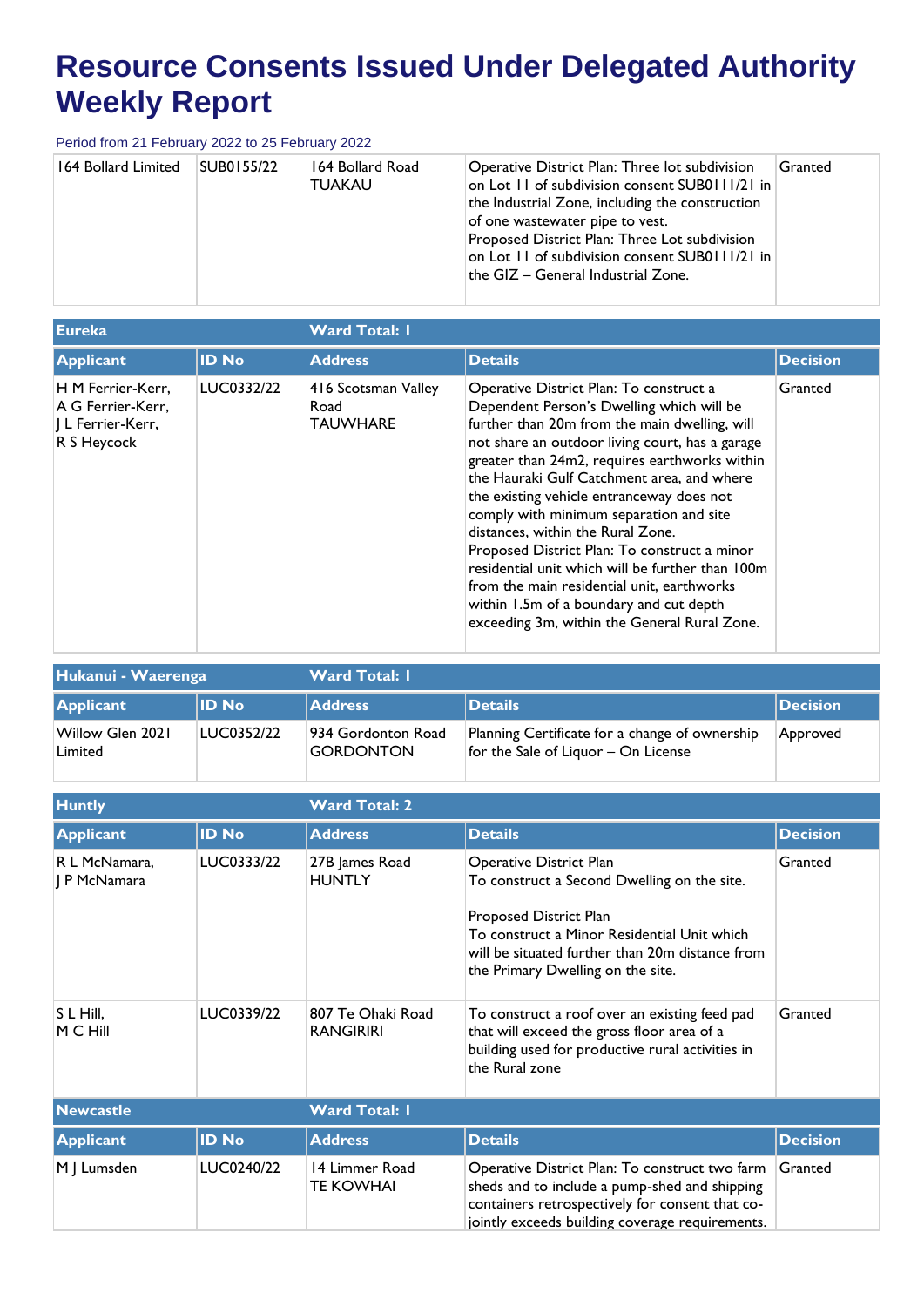| 164 Bollard Limited | SUB0155/22 | 164 Bollard Road<br><b>TUAKAU</b> | Operative District Plan: Three lot subdivision<br>on Lot 11 of subdivision consent SUB0111/21 in<br>the Industrial Zone, including the construction<br>of one wastewater pipe to vest.<br>Proposed District Plan: Three Lot subdivision<br>on Lot II of subdivision consent SUB0111/21 in<br>the $GIZ - General$ Industrial Zone. | Granted |
|---------------------|------------|-----------------------------------|-----------------------------------------------------------------------------------------------------------------------------------------------------------------------------------------------------------------------------------------------------------------------------------------------------------------------------------|---------|
|                     |            |                                   |                                                                                                                                                                                                                                                                                                                                   |         |

| <b>Eureka</b>                                                              |              | <b>Ward Total: I</b>                           |                                                                                                                                                                                                                                                                                                                                                                                                                                                                                                                                                                                                                                                                   |                 |
|----------------------------------------------------------------------------|--------------|------------------------------------------------|-------------------------------------------------------------------------------------------------------------------------------------------------------------------------------------------------------------------------------------------------------------------------------------------------------------------------------------------------------------------------------------------------------------------------------------------------------------------------------------------------------------------------------------------------------------------------------------------------------------------------------------------------------------------|-----------------|
| <b>Applicant</b>                                                           | <b>ID No</b> | <b>Address</b>                                 | <b>Details</b>                                                                                                                                                                                                                                                                                                                                                                                                                                                                                                                                                                                                                                                    | <b>Decision</b> |
| H M Ferrier-Kerr,<br>A G Ferrier-Kerr.<br>  L Ferrier-Kerr,<br>R S Heycock | LUC0332/22   | 416 Scotsman Valley<br>Road<br><b>TAUWHARE</b> | Operative District Plan: To construct a<br>Dependent Person's Dwelling which will be<br>further than 20m from the main dwelling, will<br>not share an outdoor living court, has a garage<br>greater than 24m2, requires earthworks within<br>the Hauraki Gulf Catchment area, and where<br>the existing vehicle entranceway does not<br>comply with minimum separation and site<br>distances, within the Rural Zone.<br>Proposed District Plan: To construct a minor<br>residential unit which will be further than 100m<br>from the main residential unit, earthworks<br>within 1.5m of a boundary and cut depth<br>exceeding 3m, within the General Rural Zone. | Granted         |

| Hukanui - Waerenga          |              | <b>Ward Total: I</b>                   |                                                                                       |                 |  |
|-----------------------------|--------------|----------------------------------------|---------------------------------------------------------------------------------------|-----------------|--|
| Applicant                   | <b>ID No</b> | <b>Address</b>                         | <b>Details</b>                                                                        | <b>Decision</b> |  |
| Willow Glen 2021<br>Limited | LUC0352/22   | 934 Gordonton Road<br><b>GORDONTON</b> | Planning Certificate for a change of ownership<br>for the Sale of Liquor - On License | Approved        |  |

| <b>Huntly</b>                                          |                          | <b>Ward Total: 2</b>                                                     |                                                                                                                                                                                                                                                                                                                                                                                                                     |                    |
|--------------------------------------------------------|--------------------------|--------------------------------------------------------------------------|---------------------------------------------------------------------------------------------------------------------------------------------------------------------------------------------------------------------------------------------------------------------------------------------------------------------------------------------------------------------------------------------------------------------|--------------------|
| <b>Applicant</b>                                       | <b>ID No</b>             | <b>Address</b>                                                           | <b>Details</b>                                                                                                                                                                                                                                                                                                                                                                                                      | <b>Decision</b>    |
| R L McNamara,<br>J P McNamara<br>S L Hill,<br>M C Hill | LUC0333/22<br>LUC0339/22 | 27B James Road<br><b>HUNTLY</b><br>807 Te Ohaki Road<br><b>RANGIRIRI</b> | <b>Operative District Plan</b><br>To construct a Second Dwelling on the site.<br>Proposed District Plan<br>To construct a Minor Residential Unit which<br>will be situated further than 20m distance from<br>the Primary Dwelling on the site.<br>To construct a roof over an existing feed pad<br>that will exceed the gross floor area of a<br>building used for productive rural activities in<br>the Rural zone | Granted<br>Granted |
|                                                        |                          |                                                                          |                                                                                                                                                                                                                                                                                                                                                                                                                     |                    |
| <b>Newcastle</b>                                       |                          | <b>Ward Total: I</b>                                                     |                                                                                                                                                                                                                                                                                                                                                                                                                     |                    |
| <b>Applicant</b>                                       | <b>ID No</b>             | <b>Address</b>                                                           | <b>Details</b>                                                                                                                                                                                                                                                                                                                                                                                                      | <b>Decision</b>    |
| M J Lumsden                                            | LUC0240/22               | 14 Limmer Road<br>TE KOWHAI                                              | Operative District Plan: To construct two farm<br>sheds and to include a pump-shed and shipping<br>containers retrospectively for consent that co-<br>jointly exceeds building coverage requirements.                                                                                                                                                                                                               | Granted            |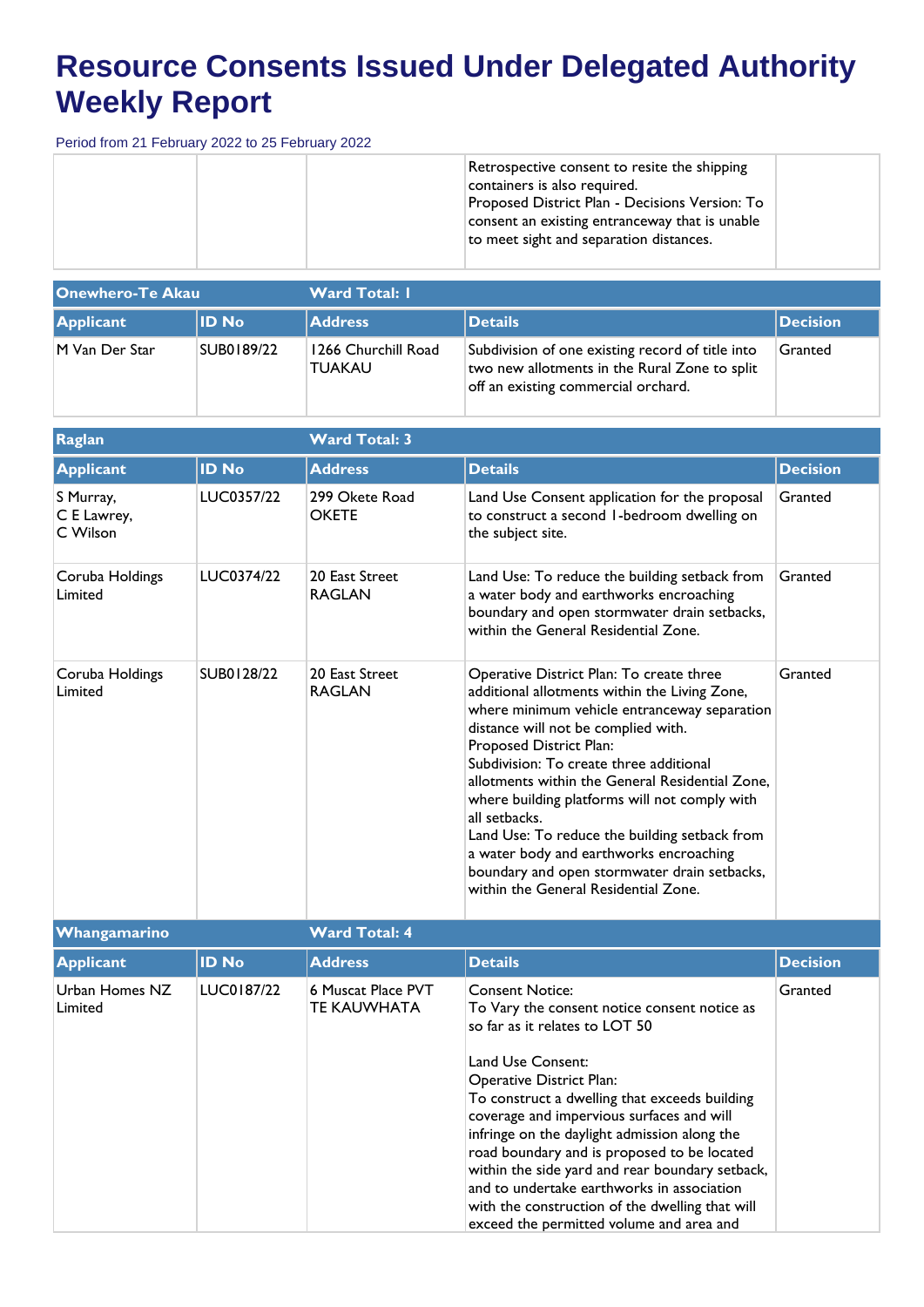| Retrospective consent to resite the shipping<br>containers is also required.<br>Proposed District Plan - Decisions Version: To<br>consent an existing entranceway that is unable<br>to meet sight and separation distances. |  |
|-----------------------------------------------------------------------------------------------------------------------------------------------------------------------------------------------------------------------------|--|
|-----------------------------------------------------------------------------------------------------------------------------------------------------------------------------------------------------------------------------|--|

| <b>Onewhero-Te Akau</b> |              | <b>Ward Total: I</b>                 |                                                                                                                                          |                  |  |  |
|-------------------------|--------------|--------------------------------------|------------------------------------------------------------------------------------------------------------------------------------------|------------------|--|--|
| Applicant               | <b>ID No</b> | <b>Address</b>                       | <b>Details</b>                                                                                                                           | <b>IDecision</b> |  |  |
| M Van Der Star          | SUB0189/22   | 1266 Churchill Road<br><b>TUAKAU</b> | Subdivision of one existing record of title into<br>two new allotments in the Rural Zone to split<br>off an existing commercial orchard. | Granted          |  |  |

| Raglan                               |              | <b>Ward Total: 3</b>            |                                                                                                                                                                                                                                                                                                                                                                                                                                                                                                                                                                 | <b>Decision</b><br>Granted |  |  |  |
|--------------------------------------|--------------|---------------------------------|-----------------------------------------------------------------------------------------------------------------------------------------------------------------------------------------------------------------------------------------------------------------------------------------------------------------------------------------------------------------------------------------------------------------------------------------------------------------------------------------------------------------------------------------------------------------|----------------------------|--|--|--|
| <b>Applicant</b>                     | <b>ID No</b> | <b>Address</b>                  | <b>Details</b>                                                                                                                                                                                                                                                                                                                                                                                                                                                                                                                                                  |                            |  |  |  |
| S Murray,<br>C E Lawrey,<br>C Wilson | LUC0357/22   | 299 Okete Road<br><b>OKETE</b>  | Land Use Consent application for the proposal<br>to construct a second 1-bedroom dwelling on<br>the subject site.                                                                                                                                                                                                                                                                                                                                                                                                                                               |                            |  |  |  |
| Coruba Holdings<br>Limited           | LUC0374/22   | 20 East Street<br><b>RAGLAN</b> | Land Use: To reduce the building setback from<br>a water body and earthworks encroaching<br>boundary and open stormwater drain setbacks,<br>within the General Residential Zone.                                                                                                                                                                                                                                                                                                                                                                                | Granted                    |  |  |  |
| Coruba Holdings<br>Limited           | SUB0128/22   | 20 East Street<br><b>RAGLAN</b> | Operative District Plan: To create three<br>additional allotments within the Living Zone,<br>where minimum vehicle entranceway separation<br>distance will not be complied with.<br>Proposed District Plan:<br>Subdivision: To create three additional<br>allotments within the General Residential Zone,<br>where building platforms will not comply with<br>all setbacks.<br>Land Use: To reduce the building setback from<br>a water body and earthworks encroaching<br>boundary and open stormwater drain setbacks,<br>within the General Residential Zone. | Granted                    |  |  |  |

| <b>Whangamarino</b>       |              | <b>Ward Total: 4</b>                     |                                                                                                                                                                                                                                                                                                                                                                                                                                                                                                                                                        |                 |
|---------------------------|--------------|------------------------------------------|--------------------------------------------------------------------------------------------------------------------------------------------------------------------------------------------------------------------------------------------------------------------------------------------------------------------------------------------------------------------------------------------------------------------------------------------------------------------------------------------------------------------------------------------------------|-----------------|
| <b>Applicant</b>          | <b>ID No</b> | <b>Address</b>                           | <b>Details</b>                                                                                                                                                                                                                                                                                                                                                                                                                                                                                                                                         | <b>Decision</b> |
| Urban Homes NZ<br>Limited | LUC0187/22   | 6 Muscat Place PVT<br><b>TE KAUWHATA</b> | <b>Consent Notice:</b><br>To Vary the consent notice consent notice as<br>so far as it relates to LOT 50<br>Land Use Consent:<br>Operative District Plan:<br>To construct a dwelling that exceeds building<br>coverage and impervious surfaces and will<br>infringe on the daylight admission along the<br>road boundary and is proposed to be located<br>within the side yard and rear boundary setback,<br>and to undertake earthworks in association<br>with the construction of the dwelling that will<br>exceed the permitted volume and area and | Granted         |